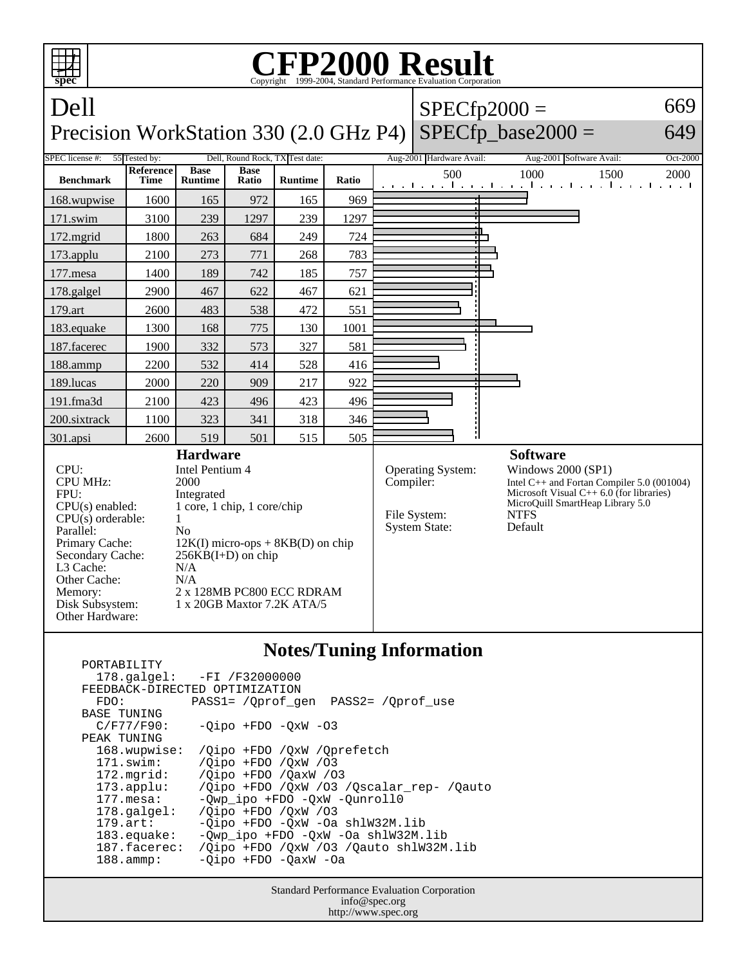

 PORTABILITY 178.galgel: -FI /F32000000 FEEDBACK-DIRECTED OPTIMIZATION<br>FDO: PASS1= /Oprof q FDO: PASS1= /Qprof\_gen PASS2= /Qprof\_use BASE TUNING  $C/F77/F90: -Qipo + FDO -QxW -O3$ PEAK TUNING<br>168.wupwise: 168.wupwise: /Qipo +FDO /QxW /Qprefetch<br>171.swim: /Oipo +FDO /OxW /O3 171.swim: /Qipo +FDO /QxW /O3 172.mgrid: /Qipo +FDO /QaxW /O3 173.applu: /Qipo +FDO /QxW /O3 /Qscalar\_rep- /Qauto 177.mesa: - Qwp\_ipo +FDO -QxW -Qunroll0<br>178.galgel: /Qipo +FDO /QxW /O3 178.galgel: /Qipo +FDO /QxW /03<br>179.art: -0ipo +FDO -0xW -0a 179.art: - Qipo +FDO - QxW - Oa shlW32M.lib<br>183.equake: - Qwp\_ipo +FDO - QxW - Oa shlW32M. 183.equake: -Qwp\_ipo +FDO -QxW -Oa shlW32M.lib 187.facerec: /Qipo +FDO /QxW /O3 /Qauto shlW32M.lib 188.ammp: -Qipo +FDO -QaxW -Oa

> Standard Performance Evaluation Corporation info@spec.org http://www.spec.org